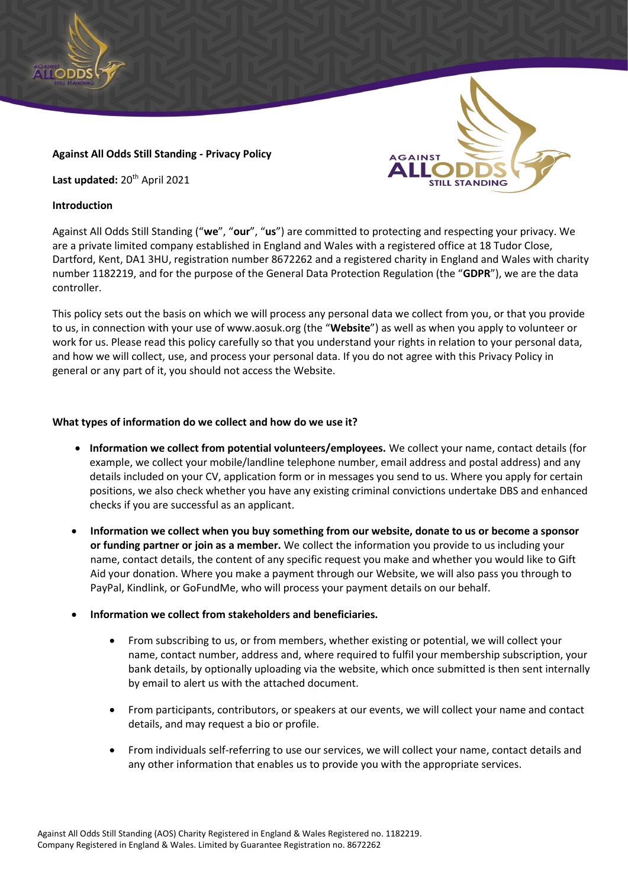

## **Against All Odds Still Standing - Privacy Policy**

Last updated: 20<sup>th</sup> April 2021

### **Introduction**



**AGAINST** 

This policy sets out the basis on which we will process any personal data we collect from you, or that you provide to us, in connection with your use of www.aosuk.org (the "**Website**") as well as when you apply to volunteer or work for us. Please read this policy carefully so that you understand your rights in relation to your personal data, and how we will collect, use, and process your personal data. If you do not agree with this Privacy Policy in general or any part of it, you should not access the Website.

## **What types of information do we collect and how do we use it?**

- **Information we collect from potential volunteers/employees.** We collect your name, contact details (for example, we collect your mobile/landline telephone number, email address and postal address) and any details included on your CV, application form or in messages you send to us. Where you apply for certain positions, we also check whether you have any existing criminal convictions undertake DBS and enhanced checks if you are successful as an applicant.
- **Information we collect when you buy something from our website, donate to us or become a sponsor or funding partner or join as a member.** We collect the information you provide to us including your name, contact details, the content of any specific request you make and whether you would like to Gift Aid your donation. Where you make a payment through our Website, we will also pass you through to PayPal, Kindlink, or GoFundMe, who will process your payment details on our behalf.
- **Information we collect from stakeholders and beneficiaries.**
	- From subscribing to us, or from members, whether existing or potential, we will collect your name, contact number, address and, where required to fulfil your membership subscription, your bank details, by optionally uploading via the website, which once submitted is then sent internally by email to alert us with the attached document.
	- From participants, contributors, or speakers at our events, we will collect your name and contact details, and may request a bio or profile.
	- From individuals self-referring to use our services, we will collect your name, contact details and any other information that enables us to provide you with the appropriate services.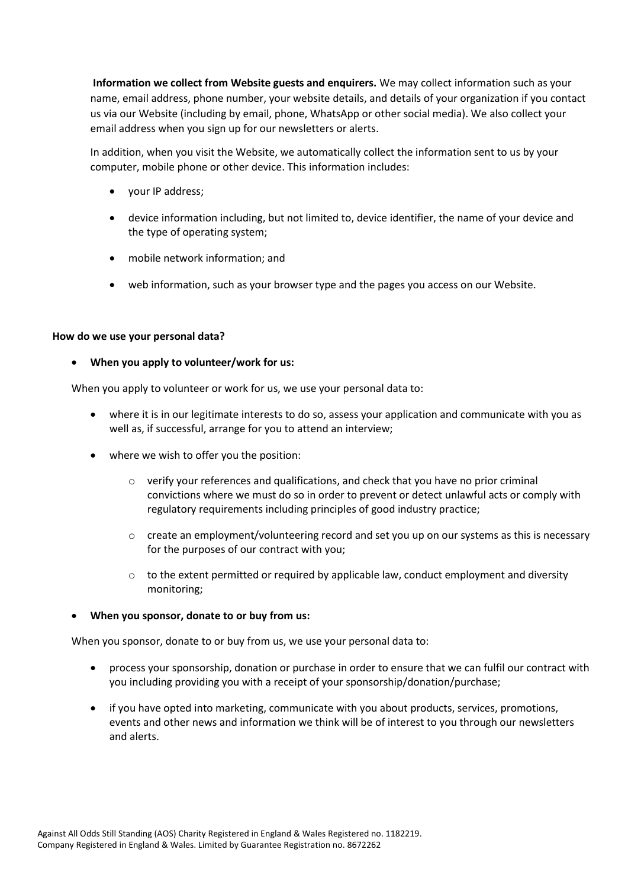**Information we collect from Website guests and enquirers.** We may collect information such as your name, email address, phone number, your website details, and details of your organization if you contact us via our Website (including by email, phone, WhatsApp or other social media). We also collect your email address when you sign up for our newsletters or alerts.

In addition, when you visit the Website, we automatically collect the information sent to us by your computer, mobile phone or other device. This information includes:

- your IP address;
- device information including, but not limited to, device identifier, the name of your device and the type of operating system;
- mobile network information; and
- web information, such as your browser type and the pages you access on our Website.

#### **How do we use your personal data?**

• **When you apply to volunteer/work for us:**

When you apply to volunteer or work for us, we use your personal data to:

- where it is in our legitimate interests to do so, assess your application and communicate with you as well as, if successful, arrange for you to attend an interview;
- where we wish to offer you the position:
	- $\circ$  verify your references and qualifications, and check that you have no prior criminal convictions where we must do so in order to prevent or detect unlawful acts or comply with regulatory requirements including principles of good industry practice;
	- $\circ$  create an employment/volunteering record and set you up on our systems as this is necessary for the purposes of our contract with you;
	- o to the extent permitted or required by applicable law, conduct employment and diversity monitoring;

## • **When you sponsor, donate to or buy from us:**

When you sponsor, donate to or buy from us, we use your personal data to:

- process your sponsorship, donation or purchase in order to ensure that we can fulfil our contract with you including providing you with a receipt of your sponsorship/donation/purchase;
- if you have opted into marketing, communicate with you about products, services, promotions, events and other news and information we think will be of interest to you through our newsletters and alerts.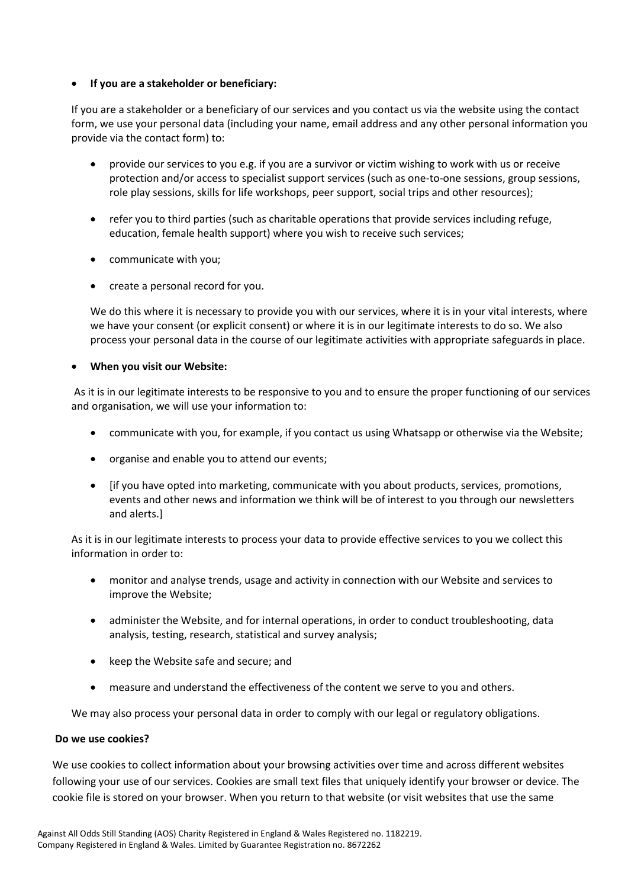# • **If you are a stakeholder or beneficiary:**

If you are a stakeholder or a beneficiary of our services and you contact us via the website using the contact form, we use your personal data (including your name, email address and any other personal information you provide via the contact form) to:

- provide our services to you e.g. if you are a survivor or victim wishing to work with us or receive protection and/or access to specialist support services (such as one-to-one sessions, group sessions, role play sessions, skills for life workshops, peer support, social trips and other resources);
- refer you to third parties (such as charitable operations that provide services including refuge, education, female health support) where you wish to receive such services;
- communicate with you;
- create a personal record for you.

We do this where it is necessary to provide you with our services, where it is in your vital interests, where we have your consent (or explicit consent) or where it is in our legitimate interests to do so. We also process your personal data in the course of our legitimate activities with appropriate safeguards in place.

# • **When you visit our Website:**

As it is in our legitimate interests to be responsive to you and to ensure the proper functioning of our services and organisation, we will use your information to:

- communicate with you, for example, if you contact us using Whatsapp or otherwise via the Website;
- organise and enable you to attend our events;
- [if you have opted into marketing, communicate with you about products, services, promotions, events and other news and information we think will be of interest to you through our newsletters and alerts.]

As it is in our legitimate interests to process your data to provide effective services to you we collect this information in order to:

- monitor and analyse trends, usage and activity in connection with our Website and services to improve the Website;
- administer the Website, and for internal operations, in order to conduct troubleshooting, data analysis, testing, research, statistical and survey analysis;
- keep the Website safe and secure; and
- measure and understand the effectiveness of the content we serve to you and others.

We may also process your personal data in order to comply with our legal or regulatory obligations.

## **Do we use cookies?**

We use cookies to collect information about your browsing activities over time and across different websites following your use of our services. Cookies are small text files that uniquely identify your browser or device. The cookie file is stored on your browser. When you return to that website (or visit websites that use the same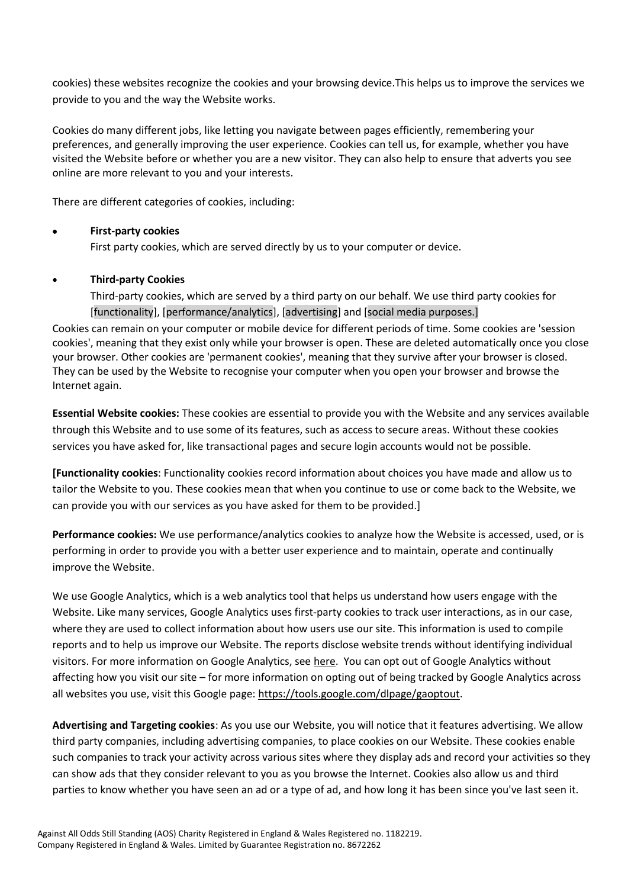cookies) these websites recognize the cookies and your browsing device.This helps us to improve the services we provide to you and the way the Website works.

Cookies do many different jobs, like letting you navigate between pages efficiently, remembering your preferences, and generally improving the user experience. Cookies can tell us, for example, whether you have visited the Website before or whether you are a new visitor. They can also help to ensure that adverts you see online are more relevant to you and your interests.

There are different categories of cookies, including:

# • **First-party cookies**

First party cookies, which are served directly by us to your computer or device.

# • **Third-party Cookies**

Third-party cookies, which are served by a third party on our behalf. We use third party cookies for [functionality], [performance/analytics], [advertising] and [social media purposes.] Cookies can remain on your computer or mobile device for different periods of time. Some cookies are 'session cookies', meaning that they exist only while your browser is open. These are deleted automatically once you close your browser. Other cookies are 'permanent cookies', meaning that they survive after your browser is closed. They can be used by the Website to recognise your computer when you open your browser and browse the

Internet again.

**Essential Website cookies:** These cookies are essential to provide you with the Website and any services available through this Website and to use some of its features, such as access to secure areas. Without these cookies services you have asked for, like transactional pages and secure login accounts would not be possible.

**[Functionality cookies**: Functionality cookies record information about choices you have made and allow us to tailor the Website to you. These cookies mean that when you continue to use or come back to the Website, we can provide you with our services as you have asked for them to be provided.]

**Performance cookies:** We use performance/analytics cookies to analyze how the Website is accessed, used, or is performing in order to provide you with a better user experience and to maintain, operate and continually improve the Website.

We use Google Analytics, which is a web analytics tool that helps us understand how users engage with the Website. Like many services, Google Analytics uses first-party cookies to track user interactions, as in our case, where they are used to collect information about how users use our site. This information is used to compile reports and to help us improve our Website. The reports disclose website trends without identifying individual visitors. For more information on Google Analytics, see [here.](https://analytics.google.com/analytics/web/provision/#/provision) You can opt out of Google Analytics without affecting how you visit our site – for more information on opting out of being tracked by Google Analytics across all websites you use, visit this Google page: [https://tools.google.com/dlpage/gaoptout.](https://tools.google.com/dlpage/gaoptout)

**Advertising and Targeting cookies**: As you use our Website, you will notice that it features advertising. We allow third party companies, including advertising companies, to place cookies on our Website. These cookies enable such companies to track your activity across various sites where they display ads and record your activities so they can show ads that they consider relevant to you as you browse the Internet. Cookies also allow us and third parties to know whether you have seen an ad or a type of ad, and how long it has been since you've last seen it.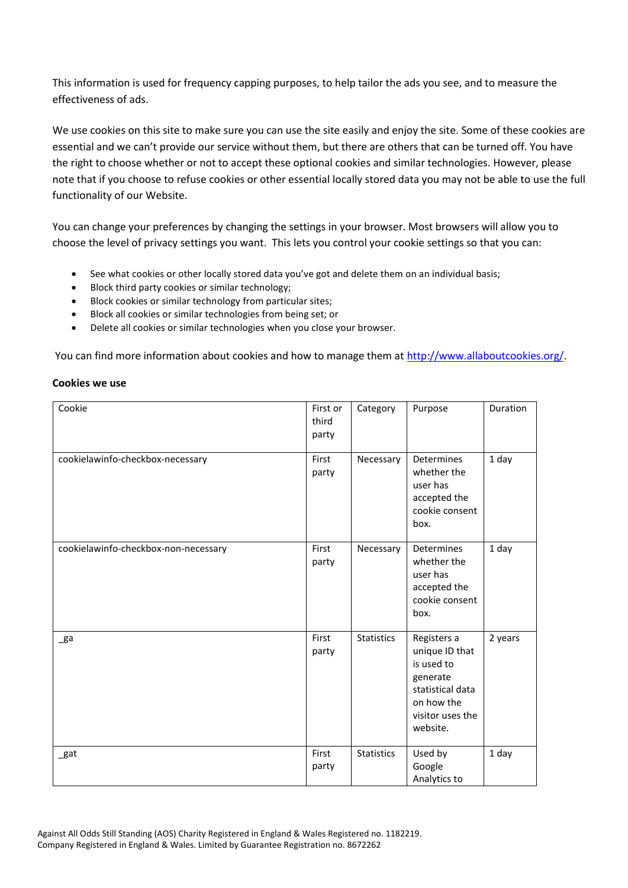This information is used for frequency capping purposes, to help tailor the ads you see, and to measure the effectiveness of ads.

We use cookies on this site to make sure you can use the site easily and enjoy the site. Some of these cookies are essential and we can't provide our service without them, but there are others that can be turned off. You have the right to choose whether or not to accept these optional cookies and similar technologies. However, please note that if you choose to refuse cookies or other essential locally stored data you may not be able to use the full functionality of our Website.

You can change your preferences by changing the settings in your browser. Most browsers will allow you to choose the level of privacy settings you want. This lets you control your cookie settings so that you can:

- See what cookies or other locally stored data you've got and delete them on an individual basis;
- Block third party cookies or similar technology;
- Block cookies or similar technology from particular sites;
- Block all cookies or similar technologies from being set; or
- Delete all cookies or similar technologies when you close your browser.

You can find more information about cookies and how to manage them a[t http://www.allaboutcookies.org/.](http://www.allaboutcookies.org/)

#### **Cookies we use**

| Cookie                               | First or<br>third<br>party | Category          | Purpose                                                                                                                   | Duration |
|--------------------------------------|----------------------------|-------------------|---------------------------------------------------------------------------------------------------------------------------|----------|
| cookielawinfo-checkbox-necessary     | First<br>party             | Necessary         | Determines<br>whether the<br>user has<br>accepted the<br>cookie consent<br>box.                                           | 1 day    |
| cookielawinfo-checkbox-non-necessary | First<br>party             | Necessary         | Determines<br>whether the<br>user has<br>accepted the<br>cookie consent<br>box.                                           | 1 day    |
| _ga                                  | First<br>party             | <b>Statistics</b> | Registers a<br>unique ID that<br>is used to<br>generate<br>statistical data<br>on how the<br>visitor uses the<br>website. | 2 years  |
| _gat                                 | First<br>party             | <b>Statistics</b> | Used by<br>Google<br>Analytics to                                                                                         | 1 day    |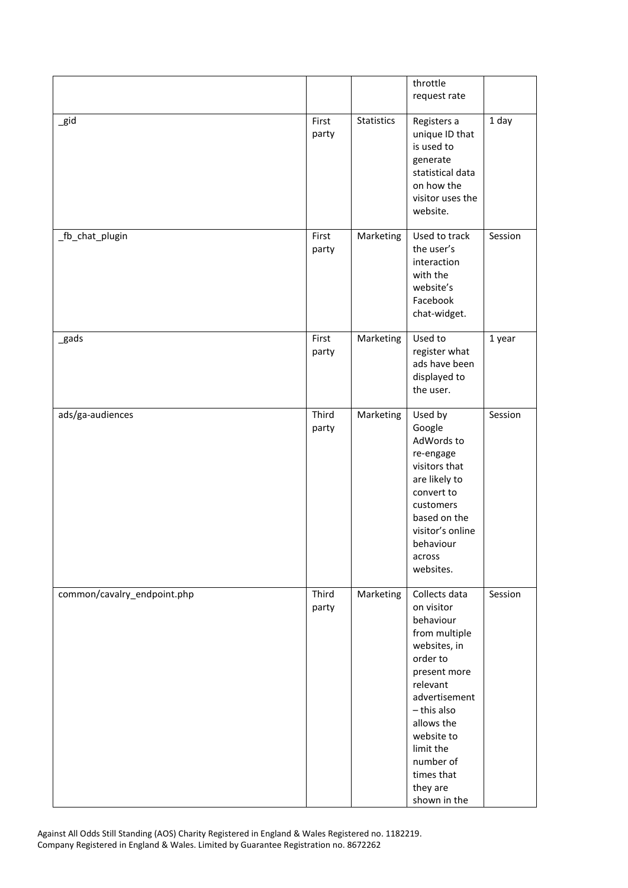|                             |                |                   | throttle<br>request rate                                                                                                                                                                                                                          |         |
|-----------------------------|----------------|-------------------|---------------------------------------------------------------------------------------------------------------------------------------------------------------------------------------------------------------------------------------------------|---------|
| $\_$ gid                    | First<br>party | <b>Statistics</b> | Registers a<br>unique ID that<br>is used to<br>generate<br>statistical data<br>on how the<br>visitor uses the<br>website.                                                                                                                         | 1 day   |
| _fb_chat_plugin             | First<br>party | Marketing         | Used to track<br>the user's<br>interaction<br>with the<br>website's<br>Facebook<br>chat-widget.                                                                                                                                                   | Session |
| _gads                       | First<br>party | Marketing         | Used to<br>register what<br>ads have been<br>displayed to<br>the user.                                                                                                                                                                            | 1 year  |
| ads/ga-audiences            | Third<br>party | Marketing         | Used by<br>Google<br>AdWords to<br>re-engage<br>visitors that<br>are likely to<br>convert to<br>customers<br>based on the<br>visitor's online<br>behaviour<br>across<br>websites.                                                                 | Session |
| common/cavalry_endpoint.php | Third<br>party | Marketing         | Collects data<br>on visitor<br>behaviour<br>from multiple<br>websites, in<br>order to<br>present more<br>relevant<br>advertisement<br>- this also<br>allows the<br>website to<br>limit the<br>number of<br>times that<br>they are<br>shown in the | Session |

Against All Odds Still Standing (AOS) Charity Registered in England & Wales Registered no. 1182219. Company Registered in England & Wales. Limited by Guarantee Registration no. 8672262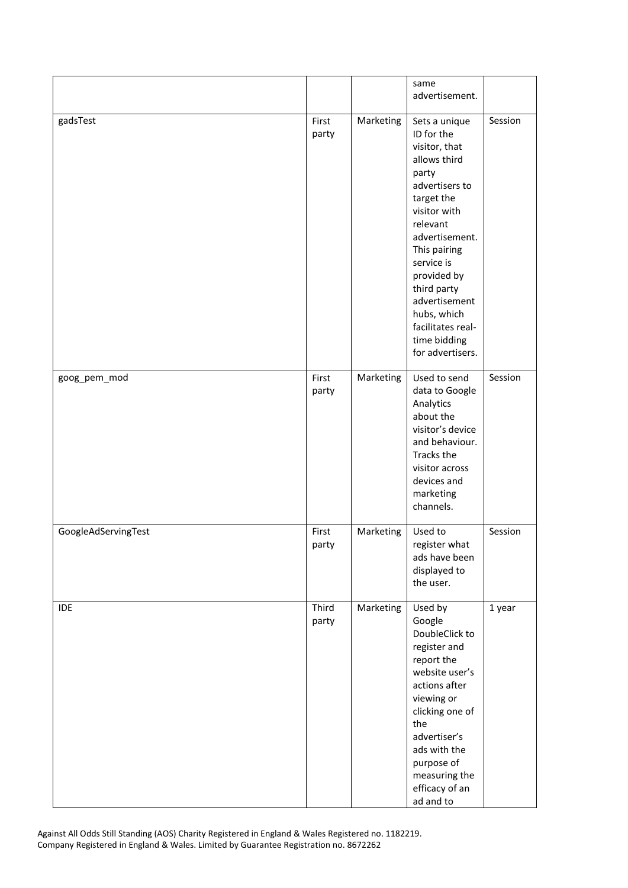|                     |                |           | same<br>advertisement.                                                                                                                                                                                                                                                                                   |         |
|---------------------|----------------|-----------|----------------------------------------------------------------------------------------------------------------------------------------------------------------------------------------------------------------------------------------------------------------------------------------------------------|---------|
| gadsTest            | First<br>party | Marketing | Sets a unique<br>ID for the<br>visitor, that<br>allows third<br>party<br>advertisers to<br>target the<br>visitor with<br>relevant<br>advertisement.<br>This pairing<br>service is<br>provided by<br>third party<br>advertisement<br>hubs, which<br>facilitates real-<br>time bidding<br>for advertisers. | Session |
| goog_pem_mod        | First<br>party | Marketing | Used to send<br>data to Google<br>Analytics<br>about the<br>visitor's device<br>and behaviour.<br>Tracks the<br>visitor across<br>devices and<br>marketing<br>channels.                                                                                                                                  | Session |
| GoogleAdServingTest | First<br>party | Marketing | Used to<br>register what<br>ads have been<br>displayed to<br>the user.                                                                                                                                                                                                                                   | Session |
| IDE                 | Third<br>party | Marketing | Used by<br>Google<br>DoubleClick to<br>register and<br>report the<br>website user's<br>actions after<br>viewing or<br>clicking one of<br>the<br>advertiser's<br>ads with the<br>purpose of<br>measuring the<br>efficacy of an<br>ad and to                                                               | 1 year  |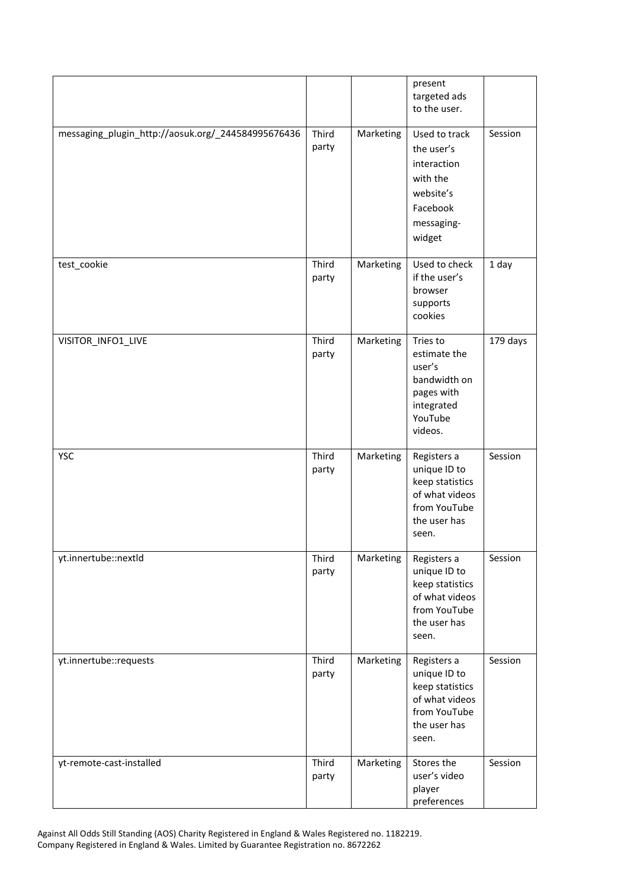|                                                    |                |           | present<br>targeted ads<br>to the user.                                                                   |          |
|----------------------------------------------------|----------------|-----------|-----------------------------------------------------------------------------------------------------------|----------|
| messaging_plugin_http://aosuk.org/_244584995676436 | Third<br>party | Marketing | Used to track<br>the user's<br>interaction<br>with the<br>website's<br>Facebook<br>messaging-<br>widget   | Session  |
| test_cookie                                        | Third<br>party | Marketing | Used to check<br>if the user's<br>browser<br>supports<br>cookies                                          | 1 day    |
| VISITOR_INFO1_LIVE                                 | Third<br>party | Marketing | Tries to<br>estimate the<br>user's<br>bandwidth on<br>pages with<br>integrated<br>YouTube<br>videos.      | 179 days |
| <b>YSC</b>                                         | Third<br>party | Marketing | Registers a<br>unique ID to<br>keep statistics<br>of what videos<br>from YouTube<br>the user has<br>seen. | Session  |
| yt.innertube::nextld                               | Third<br>party | Marketing | Registers a<br>unique ID to<br>keep statistics<br>of what videos<br>from YouTube<br>the user has<br>seen. | Session  |
| yt.innertube::requests                             | Third<br>party | Marketing | Registers a<br>unique ID to<br>keep statistics<br>of what videos<br>from YouTube<br>the user has<br>seen. | Session  |
| yt-remote-cast-installed                           | Third<br>party | Marketing | Stores the<br>user's video<br>player<br>preferences                                                       | Session  |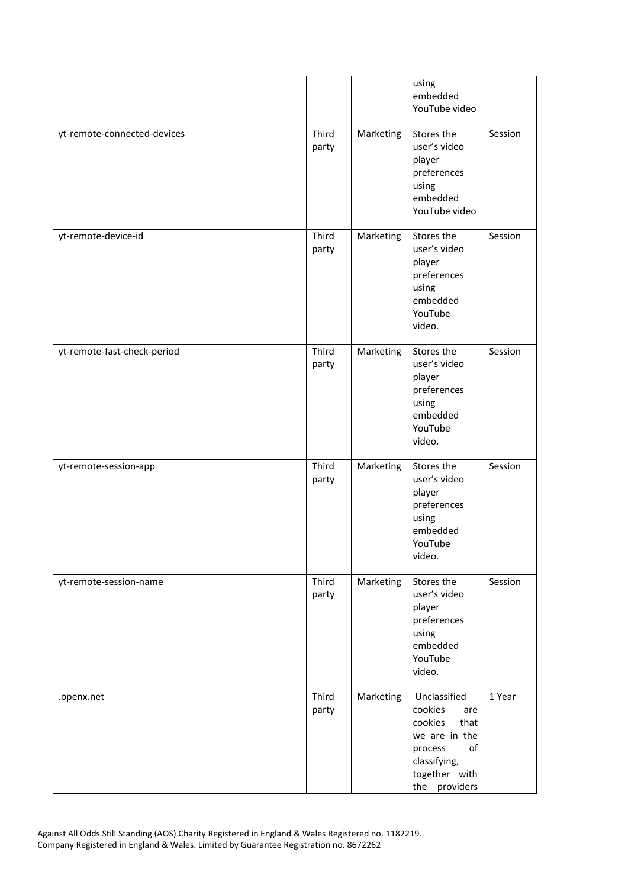|                             |                |           | using<br>embedded<br>YouTube video                                                                                                    |         |
|-----------------------------|----------------|-----------|---------------------------------------------------------------------------------------------------------------------------------------|---------|
| yt-remote-connected-devices | Third<br>party | Marketing | Stores the<br>user's video<br>player<br>preferences<br>using<br>embedded<br>YouTube video                                             | Session |
| yt-remote-device-id         | Third<br>party | Marketing | Stores the<br>user's video<br>player<br>preferences<br>using<br>embedded<br>YouTube<br>video.                                         | Session |
| yt-remote-fast-check-period | Third<br>party | Marketing | Stores the<br>user's video<br>player<br>preferences<br>using<br>embedded<br>YouTube<br>video.                                         | Session |
| yt-remote-session-app       | Third<br>party | Marketing | Stores the<br>user's video<br>player<br>preferences<br>using<br>embedded<br>YouTube<br>video.                                         | Session |
| yt-remote-session-name      | Third<br>party | Marketing | Stores the<br>user's video<br>player<br>preferences<br>using<br>embedded<br>YouTube<br>video.                                         | Session |
| .openx.net                  | Third<br>party | Marketing | Unclassified<br>cookies<br>are<br>cookies<br>that<br>we are in the<br>of<br>process<br>classifying,<br>together with<br>the providers | 1 Year  |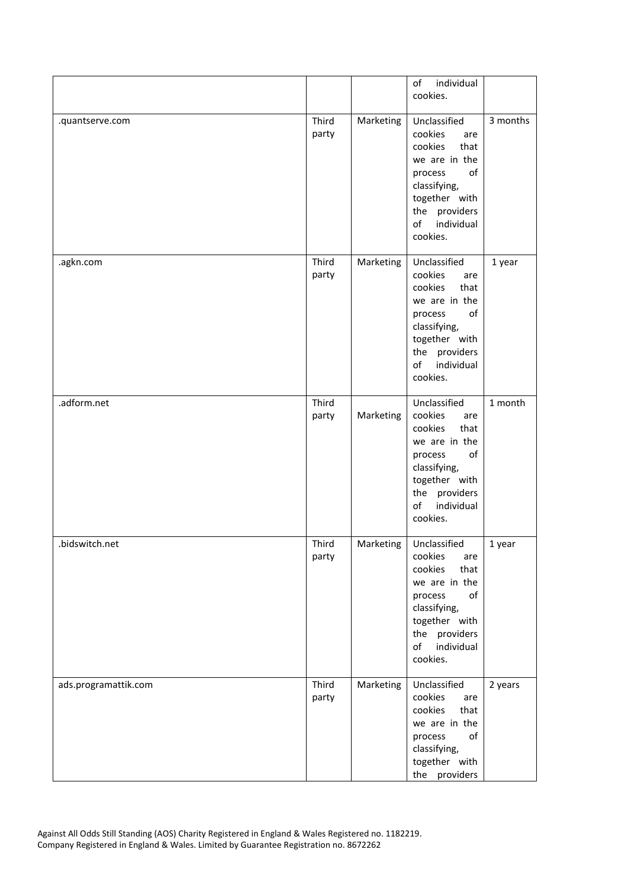|                      |                |           | individual<br>of<br>cookies.                                                                                                                                          |          |
|----------------------|----------------|-----------|-----------------------------------------------------------------------------------------------------------------------------------------------------------------------|----------|
| .quantserve.com      | Third<br>party | Marketing | Unclassified<br>cookies<br>are<br>cookies<br>that<br>we are in the<br>of<br>process<br>classifying,<br>together with<br>the providers<br>individual<br>of<br>cookies. | 3 months |
| .agkn.com            | Third<br>party | Marketing | Unclassified<br>cookies<br>are<br>cookies<br>that<br>we are in the<br>of<br>process<br>classifying,<br>together with<br>the providers<br>of<br>individual<br>cookies. | 1 year   |
| .adform.net          | Third<br>party | Marketing | Unclassified<br>cookies<br>are<br>cookies<br>that<br>we are in the<br>of<br>process<br>classifying,<br>together with<br>the providers<br>of<br>individual<br>cookies. | 1 month  |
| .bidswitch.net       | Third<br>party | Marketing | Unclassified<br>cookies<br>are<br>cookies<br>that<br>we are in the<br>of<br>process<br>classifying,<br>together with<br>the providers<br>of<br>individual<br>cookies. | 1 year   |
| ads.programattik.com | Third<br>party | Marketing | Unclassified<br>cookies<br>are<br>cookies<br>that<br>we are in the<br>of<br>process<br>classifying,<br>together with<br>the providers                                 | 2 years  |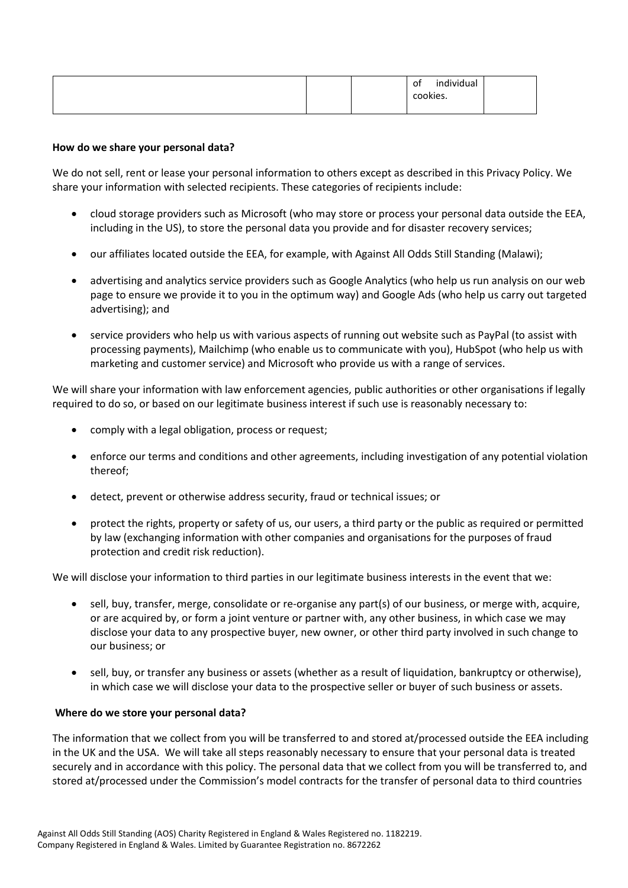| individual<br>of<br>cookies. |
|------------------------------|
|------------------------------|

# **How do we share your personal data?**

We do not sell, rent or lease your personal information to others except as described in this Privacy Policy. We share your information with selected recipients. These categories of recipients include:

- cloud storage providers such as Microsoft (who may store or process your personal data outside the EEA, including in the US), to store the personal data you provide and for disaster recovery services;
- our affiliates located outside the EEA, for example, with Against All Odds Still Standing (Malawi);
- advertising and analytics service providers such as Google Analytics (who help us run analysis on our web page to ensure we provide it to you in the optimum way) and Google Ads (who help us carry out targeted advertising); and
- service providers who help us with various aspects of running out website such as PayPal (to assist with processing payments), Mailchimp (who enable us to communicate with you), HubSpot (who help us with marketing and customer service) and Microsoft who provide us with a range of services.

We will share your information with law enforcement agencies, public authorities or other organisations if legally required to do so, or based on our legitimate business interest if such use is reasonably necessary to:

- comply with a legal obligation, process or request;
- enforce our terms and conditions and other agreements, including investigation of any potential violation thereof;
- detect, prevent or otherwise address security, fraud or technical issues; or
- protect the rights, property or safety of us, our users, a third party or the public as required or permitted by law (exchanging information with other companies and organisations for the purposes of fraud protection and credit risk reduction).

We will disclose your information to third parties in our legitimate business interests in the event that we:

- sell, buy, transfer, merge, consolidate or re-organise any part(s) of our business, or merge with, acquire, or are acquired by, or form a joint venture or partner with, any other business, in which case we may disclose your data to any prospective buyer, new owner, or other third party involved in such change to our business; or
- sell, buy, or transfer any business or assets (whether as a result of liquidation, bankruptcy or otherwise), in which case we will disclose your data to the prospective seller or buyer of such business or assets.

## **Where do we store your personal data?**

The information that we collect from you will be transferred to and stored at/processed outside the EEA including in the UK and the USA. We will take all steps reasonably necessary to ensure that your personal data is treated securely and in accordance with this policy. The personal data that we collect from you will be transferred to, and stored at/processed under the Commission's model contracts for the transfer of personal data to third countries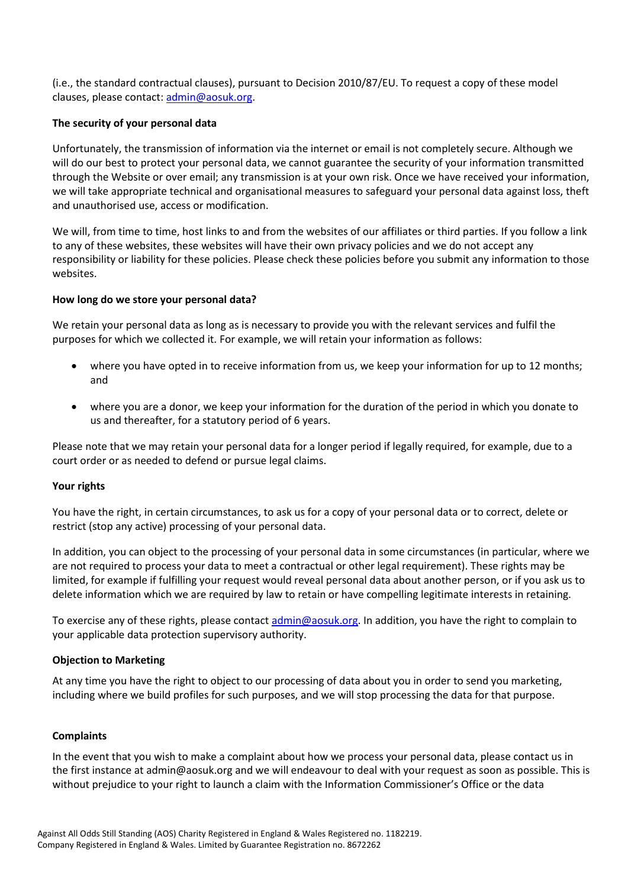(i.e., the standard contractual clauses), pursuant to Decision 2010/87/EU. To request a copy of these model clauses, please contact[: admin@aosuk.org.](mailto:admin@aosuk.org)

# **The security of your personal data**

Unfortunately, the transmission of information via the internet or email is not completely secure. Although we will do our best to protect your personal data, we cannot guarantee the security of your information transmitted through the Website or over email; any transmission is at your own risk. Once we have received your information, we will take appropriate technical and organisational measures to safeguard your personal data against loss, theft and unauthorised use, access or modification.

We will, from time to time, host links to and from the websites of our affiliates or third parties. If you follow a link to any of these websites, these websites will have their own privacy policies and we do not accept any responsibility or liability for these policies. Please check these policies before you submit any information to those websites.

# **How long do we store your personal data?**

We retain your personal data as long as is necessary to provide you with the relevant services and fulfil the purposes for which we collected it. For example, we will retain your information as follows:

- where you have opted in to receive information from us, we keep your information for up to 12 months; and
- where you are a donor, we keep your information for the duration of the period in which you donate to us and thereafter, for a statutory period of 6 years.

Please note that we may retain your personal data for a longer period if legally required, for example, due to a court order or as needed to defend or pursue legal claims.

## **Your rights**

You have the right, in certain circumstances, to ask us for a copy of your personal data or to correct, delete or restrict (stop any active) processing of your personal data.

In addition, you can object to the processing of your personal data in some circumstances (in particular, where we are not required to process your data to meet a contractual or other legal requirement). These rights may be limited, for example if fulfilling your request would reveal personal data about another person, or if you ask us to delete information which we are required by law to retain or have compelling legitimate interests in retaining.

To exercise any of these rights, please contac[t admin@aosuk.org.](mailto:admin@aosuk.org) In addition, you have the right to complain to your applicable data protection supervisory authority.

## **Objection to Marketing**

At any time you have the right to object to our processing of data about you in order to send you marketing, including where we build profiles for such purposes, and we will stop processing the data for that purpose.

## **Complaints**

In the event that you wish to make a complaint about how we process your personal data, please contact us in the first instance at admin@aosuk.org and we will endeavour to deal with your request as soon as possible. This is without prejudice to your right to launch a claim with the Information Commissioner's Office or the data